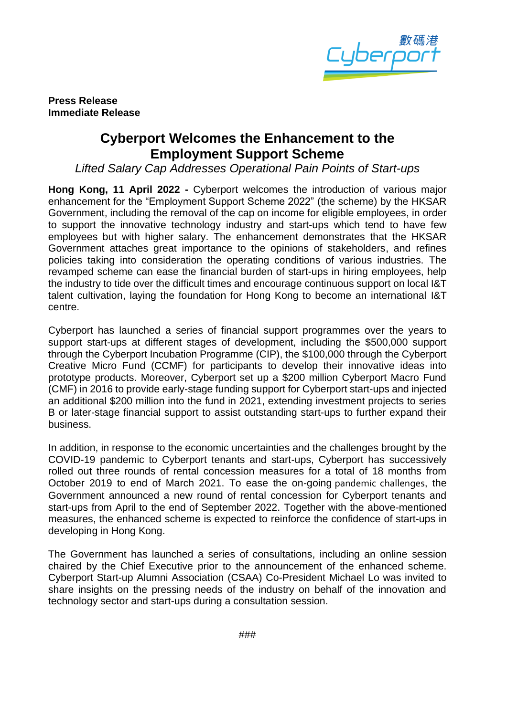

**Press Release Immediate Release**

## **Cyberport Welcomes the Enhancement to the Employment Support Scheme**

*Lifted Salary Cap Addresses Operational Pain Points of Start-ups*

**Hong Kong, 11 April 2022 -** Cyberport welcomes the introduction of various major enhancement for the "Employment Support Scheme 2022" (the scheme) by the HKSAR Government, including the removal of the cap on income for eligible employees, in order to support the innovative technology industry and start-ups which tend to have few employees but with higher salary. The enhancement demonstrates that the HKSAR Government attaches great importance to the opinions of stakeholders, and refines policies taking into consideration the operating conditions of various industries. The revamped scheme can ease the financial burden of start-ups in hiring employees, help the industry to tide over the difficult times and encourage continuous support on local I&T talent cultivation, laying the foundation for Hong Kong to become an international I&T centre.

Cyberport has launched a series of financial support programmes over the years to support start-ups at different stages of development, including the \$500,000 support through the Cyberport Incubation Programme (CIP), the \$100,000 through the Cyberport Creative Micro Fund (CCMF) for participants to develop their innovative ideas into prototype products. Moreover, Cyberport set up a \$200 million Cyberport Macro Fund (CMF) in 2016 to provide early-stage funding support for Cyberport start-ups and injected an additional \$200 million into the fund in 2021, extending investment projects to series B or later-stage financial support to assist outstanding start-ups to further expand their business.

In addition, in response to the economic uncertainties and the challenges brought by the COVID-19 pandemic to Cyberport tenants and start-ups, Cyberport has successively rolled out three rounds of rental concession measures for a total of 18 months from October 2019 to end of March 2021. To ease the on-going pandemic challenges, the Government announced a new round of rental concession for Cyberport tenants and start-ups from April to the end of September 2022. Together with the above-mentioned measures, the enhanced scheme is expected to reinforce the confidence of start-ups in developing in Hong Kong.

The Government has launched a series of consultations, including an online session chaired by the Chief Executive prior to the announcement of the enhanced scheme. Cyberport Start-up Alumni Association (CSAA) Co-President Michael Lo was invited to share insights on the pressing needs of the industry on behalf of the innovation and technology sector and start-ups during a consultation session.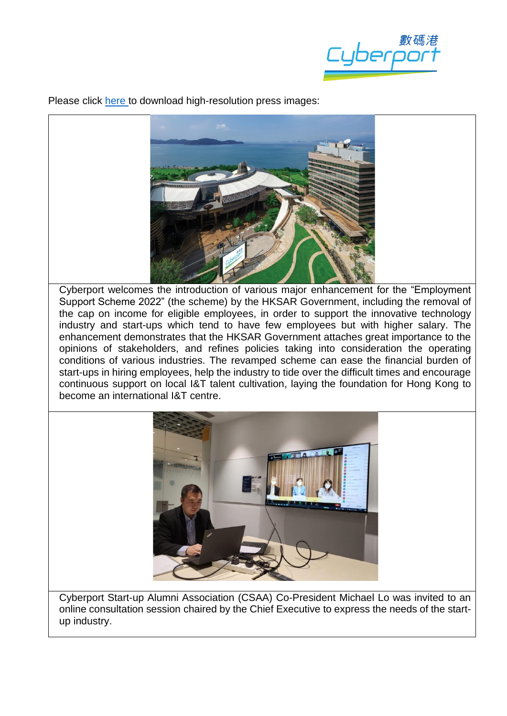tyberp<sup>r</sup>

Please click [here t](https://drive.google.com/drive/folders/1EwTV7eIkUhChT_eq7wXRpnaIoMRpV-R4?usp=sharing)o download high-resolution press images:



Cyberport welcomes the introduction of various major enhancement for the "Employment Support Scheme 2022" (the scheme) by the HKSAR Government, including the removal of the cap on income for eligible employees, in order to support the innovative technology industry and start-ups which tend to have few employees but with higher salary. The enhancement demonstrates that the HKSAR Government attaches great importance to the opinions of stakeholders, and refines policies taking into consideration the operating conditions of various industries. The revamped scheme can ease the financial burden of start-ups in hiring employees, help the industry to tide over the difficult times and encourage continuous support on local I&T talent cultivation, laying the foundation for Hong Kong to become an international I&T centre.



Cyberport Start-up Alumni Association (CSAA) Co-President Michael Lo was invited to an online consultation session chaired by the Chief Executive to express the needs of the startup industry.